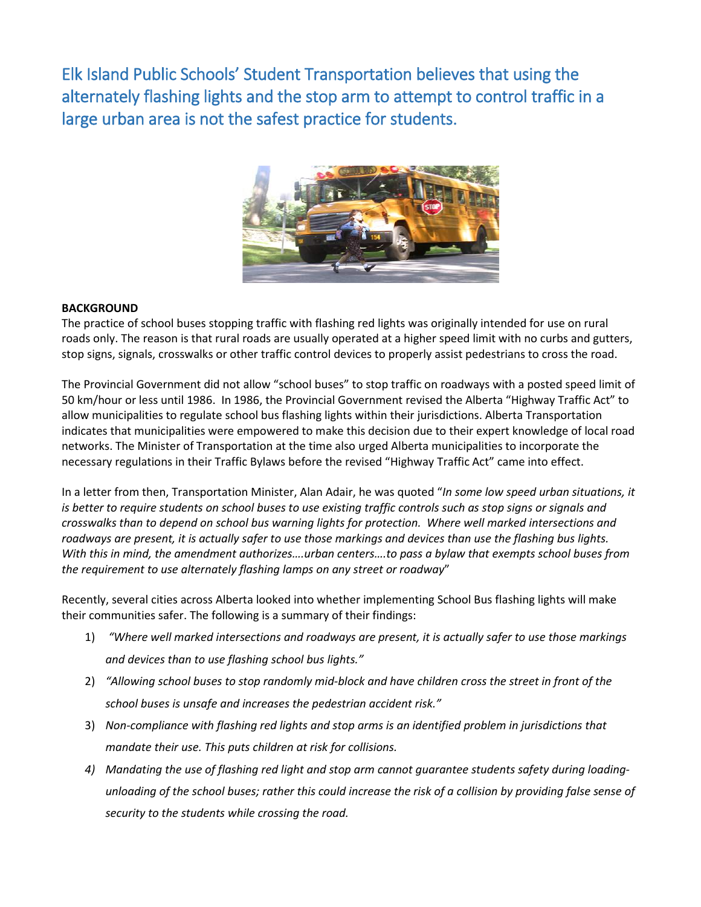Elk Island Public Schools' Student Transportation believes that using the alternately flashing lights and the stop arm to attempt to control traffic in a large urban area is not the safest practice for students.



## **BACKGROUND**

The practice of school buses stopping traffic with flashing red lights was originally intended for use on rural roads only. The reason is that rural roads are usually operated at a higher speed limit with no curbs and gutters, stop signs, signals, crosswalks or other traffic control devices to properly assist pedestrians to cross the road.

The Provincial Government did not allow "school buses" to stop traffic on roadways with a posted speed limit of 50 km/hour or less until 1986. In 1986, the Provincial Government revised the Alberta "Highway Traffic Act" to allow municipalities to regulate school bus flashing lights within their jurisdictions. Alberta Transportation indicates that municipalities were empowered to make this decision due to their expert knowledge of local road networks. The Minister of Transportation at the time also urged Alberta municipalities to incorporate the necessary regulations in their Traffic Bylaws before the revised "Highway Traffic Act" came into effect.

In a letter from then, Transportation Minister, Alan Adair, he was quoted "*In some low speed urban situations, it is better to require students on school buses to use existing traffic controls such as stop signs or signals and crosswalks than to depend on school bus warning lights for protection. Where well marked intersections and roadways are present, it is actually safer to use those markings and devices than use the flashing bus lights. With this in mind, the amendment authorizes….urban centers….to pass a bylaw that exempts school buses from the requirement to use alternately flashing lamps on any street or roadway*"

Recently, several cities across Alberta looked into whether implementing School Bus flashing lights will make their communities safer. The following is a summary of their findings:

- 1) *"Where well marked intersections and roadways are present, it is actually safer to use those markings and devices than to use flashing school bus lights."*
- 2) *"Allowing school buses to stop randomly mid-block and have children cross the street in front of the school buses is unsafe and increases the pedestrian accident risk."*
- 3) *Non-compliance with flashing red lights and stop arms is an identified problem in jurisdictions that mandate their use. This puts children at risk for collisions.*
- *4) Mandating the use of flashing red light and stop arm cannot guarantee students safety during loadingunloading of the school buses; rather this could increase the risk of a collision by providing false sense of security to the students while crossing the road.*